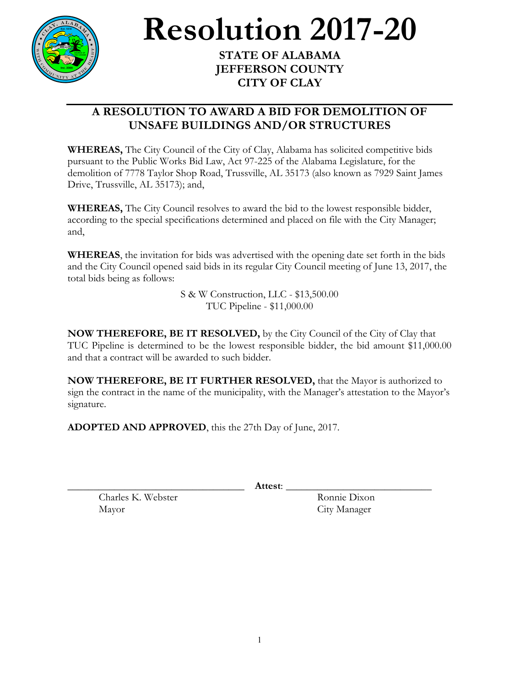

## **Resolution 2017-20 STATE OF ALABAMA**

**JEFFERSON COUNTY CITY OF CLAY**

## **A RESOLUTION TO AWARD A BID FOR DEMOLITION OF UNSAFE BUILDINGS AND/OR STRUCTURES**

**WHEREAS,** The City Council of the City of Clay, Alabama has solicited competitive bids pursuant to the Public Works Bid Law, Act 97-225 of the Alabama Legislature, for the demolition of 7778 Taylor Shop Road, Trussville, AL 35173 (also known as 7929 Saint James Drive, Trussville, AL 35173); and,

**WHEREAS,** The City Council resolves to award the bid to the lowest responsible bidder, according to the special specifications determined and placed on file with the City Manager; and,

**WHEREAS**, the invitation for bids was advertised with the opening date set forth in the bids and the City Council opened said bids in its regular City Council meeting of June 13, 2017, the total bids being as follows:

> S & W Construction, LLC - \$13,500.00 TUC Pipeline - \$11,000.00

**NOW THEREFORE, BE IT RESOLVED,** by the City Council of the City of Clay that TUC Pipeline is determined to be the lowest responsible bidder, the bid amount \$11,000.00 and that a contract will be awarded to such bidder.

**NOW THEREFORE, BE IT FURTHER RESOLVED,** that the Mayor is authorized to sign the contract in the name of the municipality, with the Manager's attestation to the Mayor's signature.

**ADOPTED AND APPROVED**, this the 27th Day of June, 2017.

\_\_\_\_\_\_\_\_\_\_\_\_\_\_\_\_\_\_\_\_\_\_\_\_\_\_\_\_\_\_\_\_\_\_ **Attest**: \_\_\_\_\_\_\_\_\_\_\_\_\_\_\_\_\_\_\_\_\_\_\_\_\_\_\_\_

Charles K. Webster Ronnie Dixon Mayor City Manager